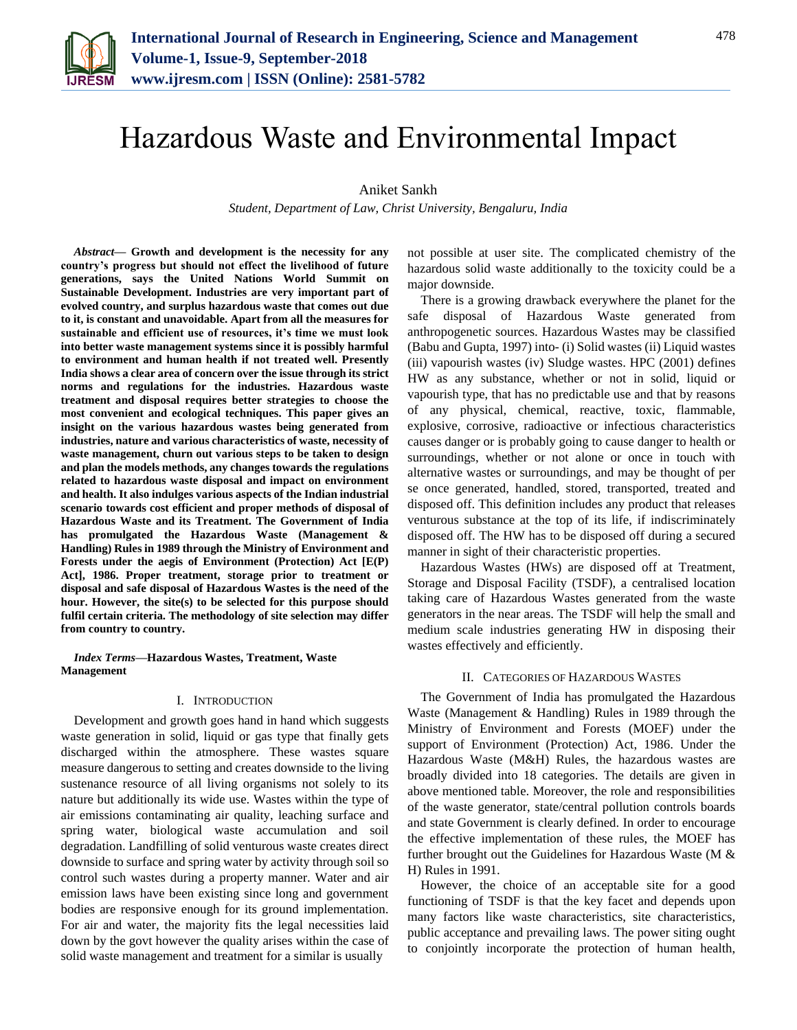

# Hazardous Waste and Environmental Impact

Aniket Sankh

*Student, Department of Law, Christ University, Bengaluru, India*

*Abstract***— Growth and development is the necessity for any country's progress but should not effect the livelihood of future generations, says the United Nations World Summit on Sustainable Development. Industries are very important part of evolved country, and surplus hazardous waste that comes out due to it, is constant and unavoidable. Apart from all the measures for sustainable and efficient use of resources, it's time we must look into better waste management systems since it is possibly harmful to environment and human health if not treated well. Presently India shows a clear area of concern over the issue through its strict norms and regulations for the industries. Hazardous waste treatment and disposal requires better strategies to choose the most convenient and ecological techniques. This paper gives an insight on the various hazardous wastes being generated from industries, nature and various characteristics of waste, necessity of waste management, churn out various steps to be taken to design and plan the models methods, any changes towards the regulations related to hazardous waste disposal and impact on environment and health. It also indulges various aspects of the Indian industrial scenario towards cost efficient and proper methods of disposal of Hazardous Waste and its Treatment. The Government of India has promulgated the Hazardous Waste (Management & Handling) Rules in 1989 through the Ministry of Environment and Forests under the aegis of Environment (Protection) Act [E(P) Act], 1986. Proper treatment, storage prior to treatment or disposal and safe disposal of Hazardous Wastes is the need of the hour. However, the site(s) to be selected for this purpose should fulfil certain criteria. The methodology of site selection may differ from country to country.**

*Index Terms***—Hazardous Wastes, Treatment, Waste Management**

# I. INTRODUCTION

Development and growth goes hand in hand which suggests waste generation in solid, liquid or gas type that finally gets discharged within the atmosphere. These wastes square measure dangerous to setting and creates downside to the living sustenance resource of all living organisms not solely to its nature but additionally its wide use. Wastes within the type of air emissions contaminating air quality, leaching surface and spring water, biological waste accumulation and soil degradation. Landfilling of solid venturous waste creates direct downside to surface and spring water by activity through soil so control such wastes during a property manner. Water and air emission laws have been existing since long and government bodies are responsive enough for its ground implementation. For air and water, the majority fits the legal necessities laid down by the govt however the quality arises within the case of solid waste management and treatment for a similar is usually

not possible at user site. The complicated chemistry of the hazardous solid waste additionally to the toxicity could be a major downside.

There is a growing drawback everywhere the planet for the safe disposal of Hazardous Waste generated from anthropogenetic sources. Hazardous Wastes may be classified (Babu and Gupta, 1997) into- (i) Solid wastes (ii) Liquid wastes (iii) vapourish wastes (iv) Sludge wastes. HPC (2001) defines HW as any substance, whether or not in solid, liquid or vapourish type, that has no predictable use and that by reasons of any physical, chemical, reactive, toxic, flammable, explosive, corrosive, radioactive or infectious characteristics causes danger or is probably going to cause danger to health or surroundings, whether or not alone or once in touch with alternative wastes or surroundings, and may be thought of per se once generated, handled, stored, transported, treated and disposed off. This definition includes any product that releases venturous substance at the top of its life, if indiscriminately disposed off. The HW has to be disposed off during a secured manner in sight of their characteristic properties.

Hazardous Wastes (HWs) are disposed off at Treatment, Storage and Disposal Facility (TSDF), a centralised location taking care of Hazardous Wastes generated from the waste generators in the near areas. The TSDF will help the small and medium scale industries generating HW in disposing their wastes effectively and efficiently.

# II. CATEGORIES OF HAZARDOUS WASTES

The Government of India has promulgated the Hazardous Waste (Management & Handling) Rules in 1989 through the Ministry of Environment and Forests (MOEF) under the support of Environment (Protection) Act, 1986. Under the Hazardous Waste (M&H) Rules, the hazardous wastes are broadly divided into 18 categories. The details are given in above mentioned table. Moreover, the role and responsibilities of the waste generator, state/central pollution controls boards and state Government is clearly defined. In order to encourage the effective implementation of these rules, the MOEF has further brought out the Guidelines for Hazardous Waste (M & H) Rules in 1991.

However, the choice of an acceptable site for a good functioning of TSDF is that the key facet and depends upon many factors like waste characteristics, site characteristics, public acceptance and prevailing laws. The power siting ought to conjointly incorporate the protection of human health,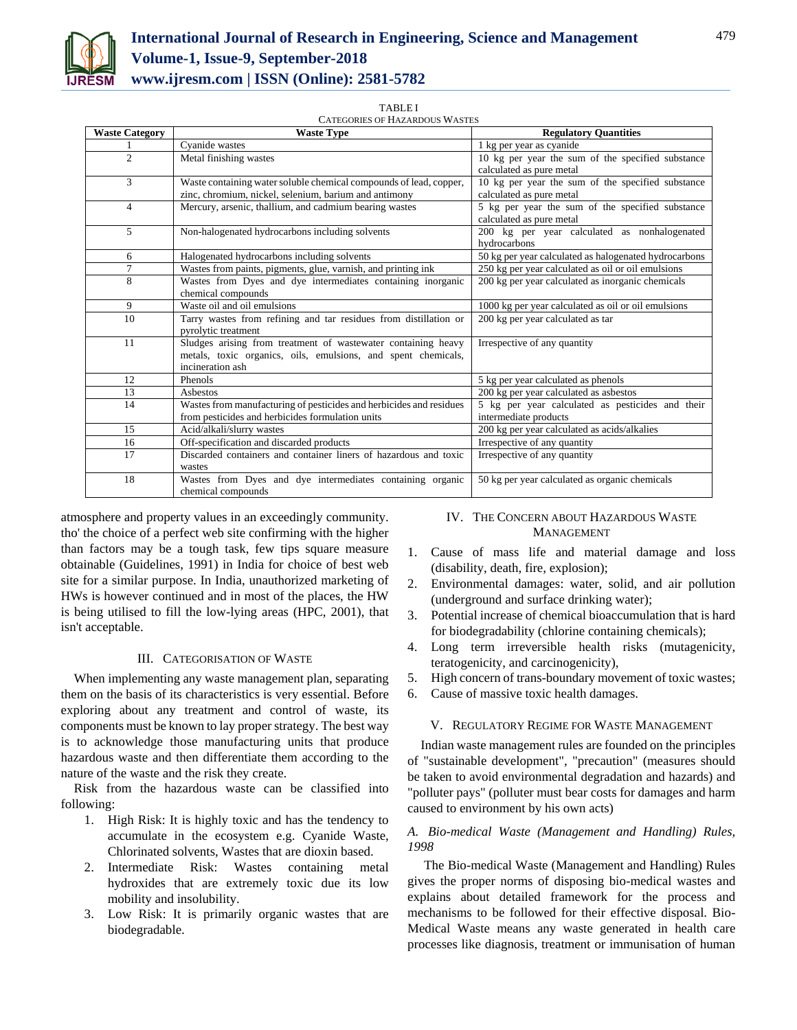

#### TABLE I

CATEGORIES OF HAZARDOUS WASTES

| <b>Waste Category</b> | <b>Waste Type</b>                                                                                                                                  | <b>Regulatory Quantities</b>                                                  |
|-----------------------|----------------------------------------------------------------------------------------------------------------------------------------------------|-------------------------------------------------------------------------------|
|                       | Cyanide wastes                                                                                                                                     | 1 kg per year as cyanide                                                      |
| $\overline{c}$        | Metal finishing wastes                                                                                                                             | 10 kg per year the sum of the specified substance<br>calculated as pure metal |
| 3                     | Waste containing water soluble chemical compounds of lead, copper,<br>zinc, chromium, nickel, selenium, barium and antimony                        | 10 kg per year the sum of the specified substance<br>calculated as pure metal |
| $\overline{4}$        | Mercury, arsenic, thallium, and cadmium bearing wastes                                                                                             | 5 kg per year the sum of the specified substance<br>calculated as pure metal  |
| 5                     | Non-halogenated hydrocarbons including solvents                                                                                                    | 200 kg per year calculated as nonhalogenated<br>hydrocarbons                  |
| 6                     | Halogenated hydrocarbons including solvents                                                                                                        | 50 kg per year calculated as halogenated hydrocarbons                         |
| 7                     | Wastes from paints, pigments, glue, varnish, and printing ink                                                                                      | 250 kg per year calculated as oil or oil emulsions                            |
| 8                     | Wastes from Dyes and dye intermediates containing inorganic<br>chemical compounds                                                                  | 200 kg per year calculated as inorganic chemicals                             |
| 9                     | Waste oil and oil emulsions                                                                                                                        | 1000 kg per year calculated as oil or oil emulsions                           |
| 10                    | Tarry wastes from refining and tar residues from distillation or<br>pyrolytic treatment                                                            | 200 kg per year calculated as tar                                             |
| 11                    | Sludges arising from treatment of wastewater containing heavy<br>metals, toxic organics, oils, emulsions, and spent chemicals,<br>incineration ash | Irrespective of any quantity                                                  |
| 12                    | Phenols                                                                                                                                            | 5 kg per year calculated as phenols                                           |
| 13                    | Asbestos                                                                                                                                           | 200 kg per year calculated as asbestos                                        |
| 14                    | Wastes from manufacturing of pesticides and herbicides and residues<br>from pesticides and herbicides formulation units                            | 5 kg per year calculated as pesticides and their<br>intermediate products     |
| 15                    | Acid/alkali/slurry wastes                                                                                                                          | 200 kg per year calculated as acids/alkalies                                  |
| 16                    | Off-specification and discarded products                                                                                                           | Irrespective of any quantity                                                  |
| 17                    | Discarded containers and container liners of hazardous and toxic<br>wastes                                                                         | Irrespective of any quantity                                                  |
| 18                    | Wastes from Dyes and dye intermediates containing organic<br>chemical compounds                                                                    | 50 kg per year calculated as organic chemicals                                |

atmosphere and property values in an exceedingly community. tho' the choice of a perfect web site confirming with the higher than factors may be a tough task, few tips square measure obtainable (Guidelines, 1991) in India for choice of best web site for a similar purpose. In India, unauthorized marketing of HWs is however continued and in most of the places, the HW is being utilised to fill the low-lying areas (HPC, 2001), that isn't acceptable.

#### III. CATEGORISATION OF WASTE

When implementing any waste management plan, separating them on the basis of its characteristics is very essential. Before exploring about any treatment and control of waste, its components must be known to lay proper strategy. The best way is to acknowledge those manufacturing units that produce hazardous waste and then differentiate them according to the nature of the waste and the risk they create.

Risk from the hazardous waste can be classified into following:

- 1. High Risk: It is highly toxic and has the tendency to accumulate in the ecosystem e.g. Cyanide Waste, Chlorinated solvents, Wastes that are dioxin based.
- 2. Intermediate Risk: Wastes containing metal hydroxides that are extremely toxic due its low mobility and insolubility.
- 3. Low Risk: It is primarily organic wastes that are biodegradable.

# IV. THE CONCERN ABOUT HAZARDOUS WASTE MANAGEMENT

- 1. Cause of mass life and material damage and loss (disability, death, fire, explosion);
- 2. Environmental damages: water, solid, and air pollution (underground and surface drinking water);
- 3. Potential increase of chemical bioaccumulation that is hard for biodegradability (chlorine containing chemicals);
- 4. Long term irreversible health risks (mutagenicity, teratogenicity, and carcinogenicity),
- 5. High concern of trans-boundary movement of toxic wastes;
- 6. Cause of massive toxic health damages.

# V. REGULATORY REGIME FOR WASTE MANAGEMENT

Indian waste management rules are founded on the principles of "sustainable development", "precaution" (measures should be taken to avoid environmental degradation and hazards) and "polluter pays" (polluter must bear costs for damages and harm caused to environment by his own acts)

# *A. Bio-medical Waste (Management and Handling) Rules, 1998*

The Bio-medical Waste (Management and Handling) Rules gives the proper norms of disposing bio-medical wastes and explains about detailed framework for the process and mechanisms to be followed for their effective disposal. Bio-Medical Waste means any waste generated in health care processes like diagnosis, treatment or immunisation of human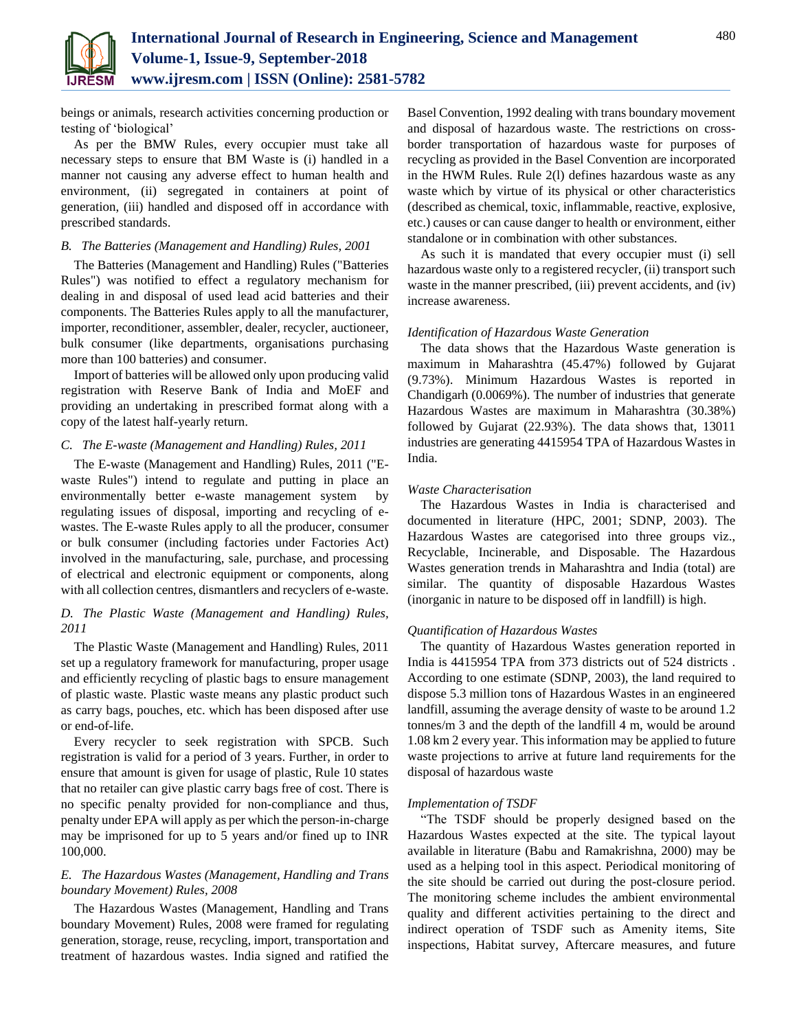

beings or animals, research activities concerning production or testing of 'biological'

As per the BMW Rules, every occupier must take all necessary steps to ensure that BM Waste is (i) handled in a manner not causing any adverse effect to human health and environment, (ii) segregated in containers at point of generation, (iii) handled and disposed off in accordance with prescribed standards.

# *B. The Batteries (Management and Handling) Rules, 2001*

The Batteries (Management and Handling) Rules ("Batteries Rules") was notified to effect a regulatory mechanism for dealing in and disposal of used lead acid batteries and their components. The Batteries Rules apply to all the manufacturer, importer, reconditioner, assembler, dealer, recycler, auctioneer, bulk consumer (like departments, organisations purchasing more than 100 batteries) and consumer.

Import of batteries will be allowed only upon producing valid registration with Reserve Bank of India and MoEF and providing an undertaking in prescribed format along with a copy of the latest half-yearly return.

# *C. The E-waste (Management and Handling) Rules, 2011*

The E-waste (Management and Handling) Rules, 2011 ("Ewaste Rules") intend to regulate and putting in place an environmentally better e-waste management system by regulating issues of disposal, importing and recycling of ewastes. The E-waste Rules apply to all the producer, consumer or bulk consumer (including factories under Factories Act) involved in the manufacturing, sale, purchase, and processing of electrical and electronic equipment or components, along with all collection centres, dismantlers and recyclers of e-waste.

# *D. The Plastic Waste (Management and Handling) Rules, 2011*

The Plastic Waste (Management and Handling) Rules, 2011 set up a regulatory framework for manufacturing, proper usage and efficiently recycling of plastic bags to ensure management of plastic waste. Plastic waste means any plastic product such as carry bags, pouches, etc. which has been disposed after use or end-of-life.

Every recycler to seek registration with SPCB. Such registration is valid for a period of 3 years. Further, in order to ensure that amount is given for usage of plastic, Rule 10 states that no retailer can give plastic carry bags free of cost. There is no specific penalty provided for non-compliance and thus, penalty under EPA will apply as per which the person-in-charge may be imprisoned for up to 5 years and/or fined up to INR 100,000.

# *E. The Hazardous Wastes (Management, Handling and Trans boundary Movement) Rules, 2008*

The Hazardous Wastes (Management, Handling and Trans boundary Movement) Rules, 2008 were framed for regulating generation, storage, reuse, recycling, import, transportation and treatment of hazardous wastes. India signed and ratified the Basel Convention, 1992 dealing with trans boundary movement and disposal of hazardous waste. The restrictions on crossborder transportation of hazardous waste for purposes of recycling as provided in the Basel Convention are incorporated in the HWM Rules. Rule 2(l) defines hazardous waste as any waste which by virtue of its physical or other characteristics (described as chemical, toxic, inflammable, reactive, explosive, etc.) causes or can cause danger to health or environment, either standalone or in combination with other substances.

As such it is mandated that every occupier must (i) sell hazardous waste only to a registered recycler, (ii) transport such waste in the manner prescribed, (iii) prevent accidents, and (iv) increase awareness.

### *Identification of Hazardous Waste Generation*

The data shows that the Hazardous Waste generation is maximum in Maharashtra (45.47%) followed by Gujarat (9.73%). Minimum Hazardous Wastes is reported in Chandigarh (0.0069%). The number of industries that generate Hazardous Wastes are maximum in Maharashtra (30.38%) followed by Gujarat (22.93%). The data shows that, 13011 industries are generating 4415954 TPA of Hazardous Wastes in India.

### *Waste Characterisation*

The Hazardous Wastes in India is characterised and documented in literature (HPC, 2001; SDNP, 2003). The Hazardous Wastes are categorised into three groups viz., Recyclable, Incinerable, and Disposable. The Hazardous Wastes generation trends in Maharashtra and India (total) are similar. The quantity of disposable Hazardous Wastes (inorganic in nature to be disposed off in landfill) is high.

# *Quantification of Hazardous Wastes*

The quantity of Hazardous Wastes generation reported in India is 4415954 TPA from 373 districts out of 524 districts . According to one estimate (SDNP, 2003), the land required to dispose 5.3 million tons of Hazardous Wastes in an engineered landfill, assuming the average density of waste to be around 1.2 tonnes/m 3 and the depth of the landfill 4 m, would be around 1.08 km 2 every year. This information may be applied to future waste projections to arrive at future land requirements for the disposal of hazardous waste

## *Implementation of TSDF*

"The TSDF should be properly designed based on the Hazardous Wastes expected at the site. The typical layout available in literature (Babu and Ramakrishna, 2000) may be used as a helping tool in this aspect. Periodical monitoring of the site should be carried out during the post-closure period. The monitoring scheme includes the ambient environmental quality and different activities pertaining to the direct and indirect operation of TSDF such as Amenity items, Site inspections, Habitat survey, Aftercare measures, and future